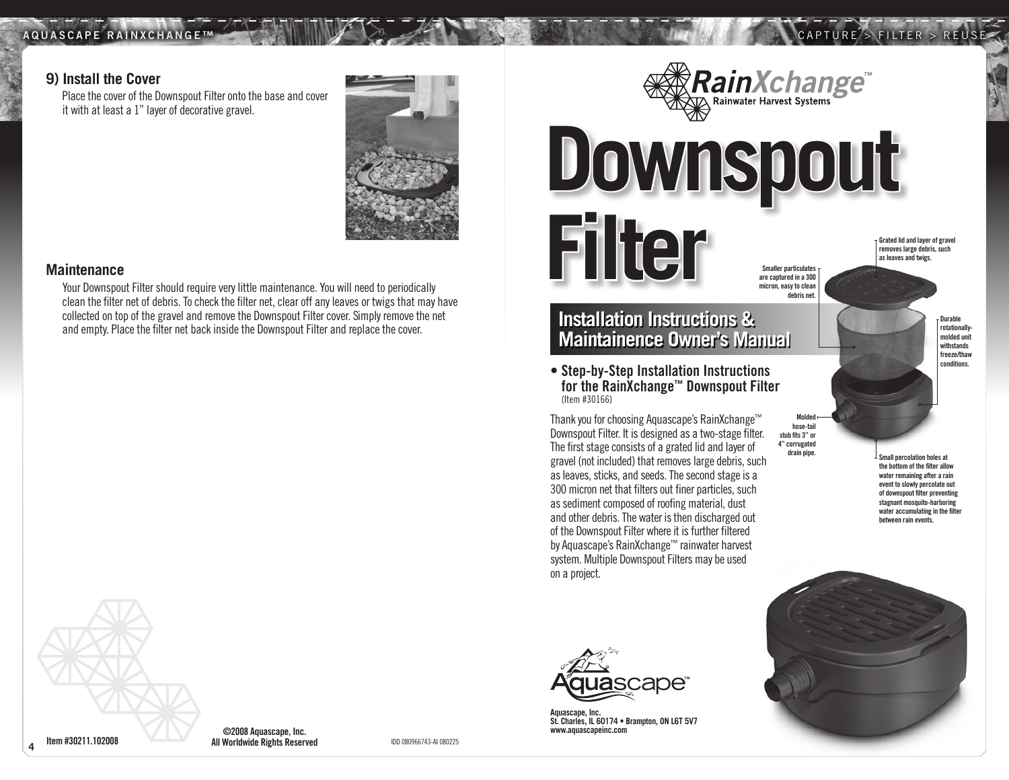#### AQUASCAPE RAINXCHANGE

# $>$  FILTER  $>$  REUSE

#### **9) Install the Cover**

Place the cover of the Downspout Filter onto the base and cover it with at least a 1" layer of decorative gravel.



#### **Maintenance**

**4**

Your Downspout Filter should require very little maintenance. You will need to periodically clean the filter net of debris. To check the filter net, clear off any leaves or twigs that may have collected on top of the gravel and remove the Downspout Filter cover. Simply remove the net and empty. Place the filter net back inside the Downspout Filter and replace the cover.

Smaller narticulates are captured in a 300 micron, easy to clean debris net.

Rain *Xchange*<sup>"</sup>

# **Installation Instructions & Maintainence Owner's Manual**

**Filter**

**Downspout** 

• Step-by-Step Installation Instructions for the RainXchange™ Downspout Filter (Item #30166)

Thank you for choosing Aquascape's RainXchange™ Downspout Filter. It is designed as a two-stage filter. The first stage consists of a grated lid and layer of gravel (not included) that removes large debris, such as leaves, sticks, and seeds. The second stage is a 300 micron net that filters out finer particles, such as sediment composed of roofing material, dust and other debris. The water is then discharged out of the Downspout Filter where it is further filtered by Aquascape's RainXchange™ rainwater harvest system. Multiple Downspout Filters may be used on a project.

Molded hose-tail stub fits 3" or 4" corrugated

**Durable** rotationallymolded unit withstands freeze/thaw conditions.

Grated lid and layer of gravel removes large debris, such as leaves and twigs.

Small percolation holes at the bottom of the filter allow water remaining after a rain event to slowly percolate out of downspout filter preventing stagnant mosquito-harboring

> water accumulating in the filter between rain events.



COLOB Aquascape, Inc.<br>Item #30211.102008 **All Worldwide Rights Reserved** IDD 080966743-AI 080225

**Aquascape, Inc. St. Charles, IL 60174 • Brampton, ON L6T 5V7 www.aquascapeinc.com**